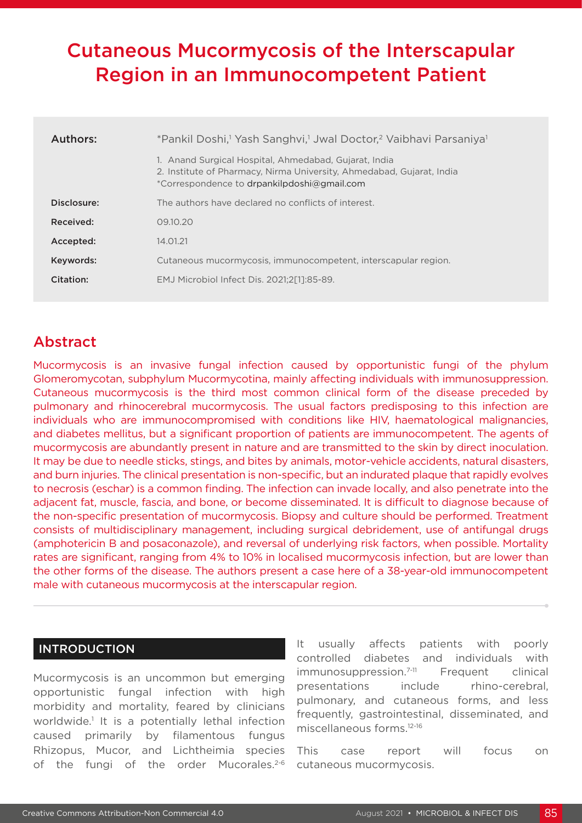# Cutaneous Mucormycosis of the Interscapular Region in an Immunocompetent Patient

| Authors:    | *Pankil Doshi, <sup>1</sup> Yash Sanghvi, <sup>1</sup> Jwal Doctor, <sup>2</sup> Vaibhavi Parsaniya <sup>1</sup>                                                              |
|-------------|-------------------------------------------------------------------------------------------------------------------------------------------------------------------------------|
|             | 1. Anand Surgical Hospital, Ahmedabad, Gujarat, India<br>2. Institute of Pharmacy, Nirma University, Ahmedabad, Gujarat, India<br>*Correspondence to drpankilpdoshi@gmail.com |
| Disclosure: | The authors have declared no conflicts of interest.                                                                                                                           |
| Received:   | 09.10.20                                                                                                                                                                      |
| Accepted:   | 14.01.21                                                                                                                                                                      |
| Keywords:   | Cutaneous mucormycosis, immunocompetent, interscapular region.                                                                                                                |
| Citation:   | EMJ Microbiol Infect Dis. 2021:2[11:85-89.                                                                                                                                    |

## Abstract

Mucormycosis is an invasive fungal infection caused by opportunistic fungi of the phylum Glomeromycotan, subphylum Mucormycotina, mainly affecting individuals with immunosuppression. Cutaneous mucormycosis is the third most common clinical form of the disease preceded by pulmonary and rhinocerebral mucormycosis. The usual factors predisposing to this infection are individuals who are immunocompromised with conditions like HIV, haematological malignancies, and diabetes mellitus, but a significant proportion of patients are immunocompetent. The agents of mucormycosis are abundantly present in nature and are transmitted to the skin by direct inoculation. It may be due to needle sticks, stings, and bites by animals, motor-vehicle accidents, natural disasters, and burn injuries. The clinical presentation is non-specific, but an indurated plaque that rapidly evolves to necrosis (eschar) is a common finding. The infection can invade locally, and also penetrate into the adjacent fat, muscle, fascia, and bone, or become disseminated. It is difficult to diagnose because of the non-specific presentation of mucormycosis. Biopsy and culture should be performed. Treatment consists of multidisciplinary management, including surgical debridement, use of antifungal drugs (amphotericin B and posaconazole), and reversal of underlying risk factors, when possible. Mortality rates are significant, ranging from 4% to 10% in localised mucormycosis infection, but are lower than the other forms of the disease. The authors present a case here of a 38-year-old immunocompetent male with cutaneous mucormycosis at the interscapular region.

## INTRODUCTION

Mucormycosis is an uncommon but emerging opportunistic fungal infection with high morbidity and mortality, feared by clinicians worldwide.<sup>1</sup> It is a potentially lethal infection caused primarily by filamentous fungus Rhizopus, Mucor, and Lichtheimia species of the fungi of the order Mucorales.<sup>2-6</sup>

It usually affects patients with poorly controlled diabetes and individuals with immunosuppression.<sup>7-11</sup> Frequent clinical presentations include rhino-cerebral, pulmonary, and cutaneous forms, and less frequently, gastrointestinal, disseminated, and miscellaneous forms.12-16

This case report will focus on cutaneous mucormycosis.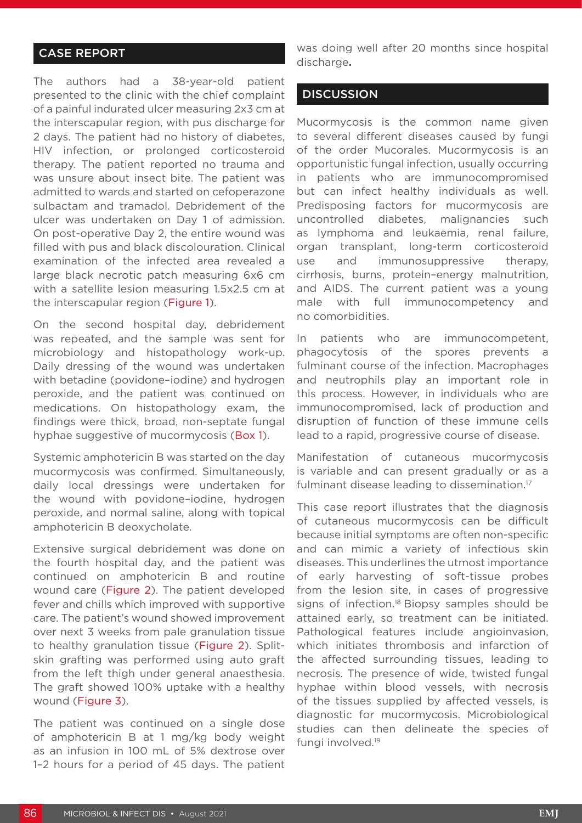## CASE REPORT

The authors had a 38-year-old patient presented to the clinic with the chief complaint of a painful indurated ulcer measuring 2x3 cm at the interscapular region, with pus discharge for 2 days. The patient had no history of diabetes, HIV infection, or prolonged corticosteroid therapy. The patient reported no trauma and was unsure about insect bite. The patient was admitted to wards and started on cefoperazone sulbactam and tramadol. Debridement of the ulcer was undertaken on Day 1 of admission. On post-operative Day 2, the entire wound was filled with pus and black discolouration. Clinical examination of the infected area revealed a large black necrotic patch measuring 6x6 cm with a satellite lesion measuring 1.5x2.5 cm at the interscapular region (Figure 1).

On the second hospital day, debridement was repeated, and the sample was sent for microbiology and histopathology work-up. Daily dressing of the wound was undertaken with betadine (povidone–iodine) and hydrogen peroxide, and the patient was continued on medications. On histopathology exam, the findings were thick, broad, non-septate fungal hyphae suggestive of mucormycosis (Box 1).

Systemic amphotericin B was started on the day mucormycosis was confirmed. Simultaneously, daily local dressings were undertaken for the wound with povidone–iodine, hydrogen peroxide, and normal saline, along with topical amphotericin B deoxycholate.

Extensive surgical debridement was done on the fourth hospital day, and the patient was continued on amphotericin B and routine wound care (Figure 2). The patient developed fever and chills which improved with supportive care. The patient's wound showed improvement over next 3 weeks from pale granulation tissue to healthy granulation tissue (Figure 2). Splitskin grafting was performed using auto graft from the left thigh under general anaesthesia. The graft showed 100% uptake with a healthy wound (Figure 3).

The patient was continued on a single dose of amphotericin B at 1 mg/kg body weight as an infusion in 100 mL of 5% dextrose over 1–2 hours for a period of 45 days. The patient

was doing well after 20 months since hospital discharge**.**

#### **DISCUSSION**

Mucormycosis is the common name given to several different diseases caused by fungi of the order Mucorales. Mucormycosis is an opportunistic fungal infection, usually occurring in patients who are immunocompromised but can infect healthy individuals as well. Predisposing factors for mucormycosis are uncontrolled diabetes, malignancies such as lymphoma and leukaemia, renal failure, organ transplant, long-term corticosteroid use and immunosuppressive therapy, cirrhosis, burns, protein–energy malnutrition, and AIDS. The current patient was a young male with full immunocompetency and no comorbidities.

In patients who are immunocompetent, phagocytosis of the spores prevents a fulminant course of the infection. Macrophages and neutrophils play an important role in this process. However, in individuals who are immunocompromised, lack of production and disruption of function of these immune cells lead to a rapid, progressive course of disease.

Manifestation of cutaneous mucormycosis is variable and can present gradually or as a fulminant disease leading to dissemination.17

This case report illustrates that the diagnosis of cutaneous mucormycosis can be difficult because initial symptoms are often non-specific and can mimic a variety of infectious skin diseases. This underlines the utmost importance of early harvesting of soft-tissue probes from the lesion site, in cases of progressive signs of infection.<sup>18</sup> Biopsy samples should be attained early, so treatment can be initiated. Pathological features include angioinvasion, which initiates thrombosis and infarction of the affected surrounding tissues, leading to necrosis. The presence of wide, twisted fungal hyphae within blood vessels, with necrosis of the tissues supplied by affected vessels, is diagnostic for mucormycosis. Microbiological studies can then delineate the species of fungi involved.19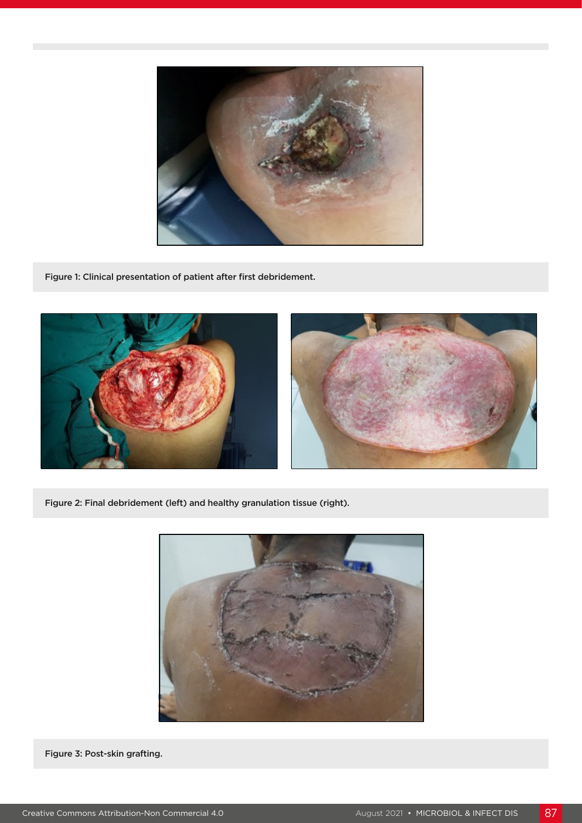

Figure 1: Clinical presentation of patient after first debridement.



Figure 2: Final debridement (left) and healthy granulation tissue (right).



Figure 3: Post-skin grafting.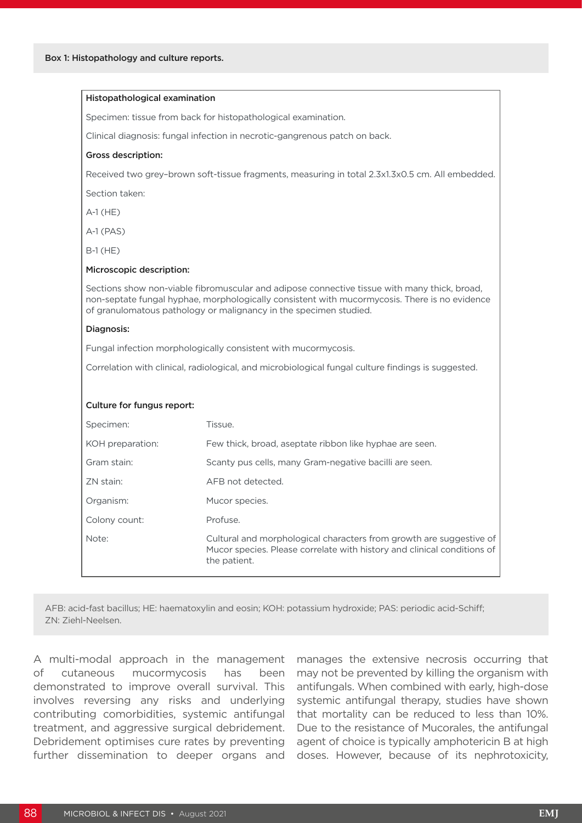| Histopathological examination                                                                   |                                                                                                                                                                                                                                                                    |
|-------------------------------------------------------------------------------------------------|--------------------------------------------------------------------------------------------------------------------------------------------------------------------------------------------------------------------------------------------------------------------|
|                                                                                                 | Specimen: tissue from back for histopathological examination.                                                                                                                                                                                                      |
|                                                                                                 | Clinical diagnosis: fungal infection in necrotic-gangrenous patch on back.                                                                                                                                                                                         |
| <b>Gross description:</b>                                                                       |                                                                                                                                                                                                                                                                    |
| Received two grey-brown soft-tissue fragments, measuring in total 2.3x1.3x0.5 cm. All embedded. |                                                                                                                                                                                                                                                                    |
| Section taken:                                                                                  |                                                                                                                                                                                                                                                                    |
| $A-1$ (HE)                                                                                      |                                                                                                                                                                                                                                                                    |
| $A-1$ (PAS)                                                                                     |                                                                                                                                                                                                                                                                    |
| $B-1$ (HE)                                                                                      |                                                                                                                                                                                                                                                                    |
| Microscopic description:                                                                        |                                                                                                                                                                                                                                                                    |
|                                                                                                 | Sections show non-viable fibromuscular and adipose connective tissue with many thick, broad,<br>non-septate fungal hyphae, morphologically consistent with mucormycosis. There is no evidence<br>of granulomatous pathology or malignancy in the specimen studied. |
| Diagnosis:                                                                                      |                                                                                                                                                                                                                                                                    |
|                                                                                                 | Fungal infection morphologically consistent with mucormycosis.                                                                                                                                                                                                     |
|                                                                                                 | Correlation with clinical, radiological, and microbiological fungal culture findings is suggested.                                                                                                                                                                 |
| Culture for fungus report:                                                                      |                                                                                                                                                                                                                                                                    |
| Specimen:                                                                                       | Tissue.                                                                                                                                                                                                                                                            |
| KOH preparation:                                                                                | Few thick, broad, aseptate ribbon like hyphae are seen.                                                                                                                                                                                                            |
| Gram stain:                                                                                     | Scanty pus cells, many Gram-negative bacilli are seen.                                                                                                                                                                                                             |
| ZN stain:                                                                                       | AFB not detected.                                                                                                                                                                                                                                                  |
| Organism:                                                                                       | Mucor species.                                                                                                                                                                                                                                                     |
| Colony count:                                                                                   | Profuse.                                                                                                                                                                                                                                                           |
| Note:                                                                                           | Cultural and morphological characters from growth are suggestive of<br>Mucor species. Please correlate with history and clinical conditions of<br>the patient.                                                                                                     |

AFB: acid-fast bacillus; HE: haematoxylin and eosin; KOH: potassium hydroxide; PAS: periodic acid-Schiff; ZN: Ziehl-Neelsen.

A multi-modal approach in the management of cutaneous mucormycosis has been demonstrated to improve overall survival. This involves reversing any risks and underlying contributing comorbidities, systemic antifungal treatment, and aggressive surgical debridement. Debridement optimises cure rates by preventing further dissemination to deeper organs and manages the extensive necrosis occurring that may not be prevented by killing the organism with antifungals. When combined with early, high-dose systemic antifungal therapy, studies have shown that mortality can be reduced to less than 10%. Due to the resistance of Mucorales, the antifungal agent of choice is typically amphotericin B at high doses. However, because of its nephrotoxicity,